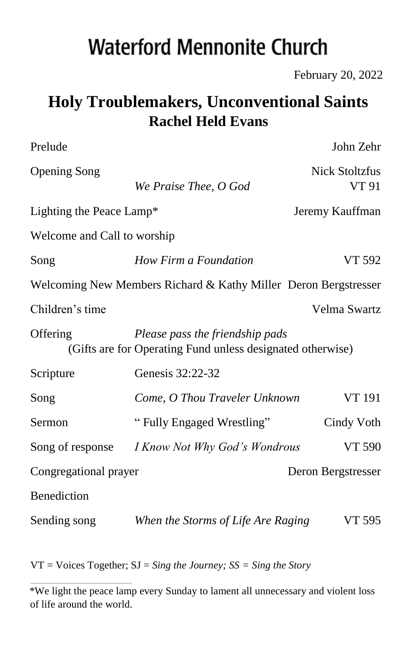# **Waterford Mennonite Church**

February 20, 2022

# **Holy Troublemakers, Unconventional Saints Rachel Held Evans**

| Prelude                                                                                                   |                                    | John Zehr                      |  |  |  |  |
|-----------------------------------------------------------------------------------------------------------|------------------------------------|--------------------------------|--|--|--|--|
| <b>Opening Song</b>                                                                                       | We Praise Thee, O God              | <b>Nick Stoltzfus</b><br>VT 91 |  |  |  |  |
| Lighting the Peace Lamp*                                                                                  | Jeremy Kauffman                    |                                |  |  |  |  |
| Welcome and Call to worship                                                                               |                                    |                                |  |  |  |  |
| Song                                                                                                      | How Firm a Foundation              | VT 592                         |  |  |  |  |
| Welcoming New Members Richard & Kathy Miller Deron Bergstresser                                           |                                    |                                |  |  |  |  |
| Children's time                                                                                           |                                    | Velma Swartz                   |  |  |  |  |
| Offering<br>Please pass the friendship pads<br>(Gifts are for Operating Fund unless designated otherwise) |                                    |                                |  |  |  |  |
| Scripture                                                                                                 | Genesis 32:22-32                   |                                |  |  |  |  |
| Song                                                                                                      | Come, O Thou Traveler Unknown      | VT 191                         |  |  |  |  |
| Sermon                                                                                                    | "Fully Engaged Wrestling"          | Cindy Voth                     |  |  |  |  |
| Song of response                                                                                          | I Know Not Why God's Wondrous      | VT 590                         |  |  |  |  |
| Congregational prayer                                                                                     |                                    | Deron Bergstresser             |  |  |  |  |
| Benediction                                                                                               |                                    |                                |  |  |  |  |
| Sending song                                                                                              | When the Storms of Life Are Raging | VT 595                         |  |  |  |  |

VT = Voices Together; SJ = *Sing the Journey; SS = Sing the Story* 

<sup>\*</sup>We light the peace lamp every Sunday to lament all unnecessary and violent loss of life around the world.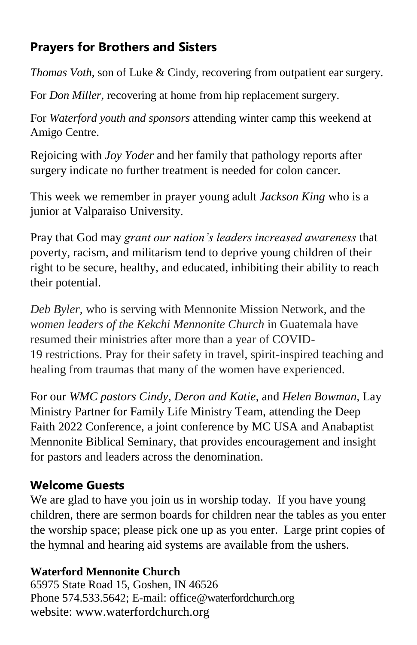## **Prayers for Brothers and Sisters**

*Thomas Voth*, son of Luke & Cindy, recovering from outpatient ear surgery.

For *Don Miller*, recovering at home from hip replacement surgery.

For *Waterford youth and sponsors* attending winter camp this weekend at Amigo Centre.

Rejoicing with *Joy Yoder* and her family that pathology reports after surgery indicate no further treatment is needed for colon cancer.

This week we remember in prayer young adult *Jackson King* who is a junior at Valparaiso University.

Pray that God may *grant our nation's leaders increased awareness* that poverty, racism, and militarism tend to deprive young children of their right to be secure, healthy, and educated, inhibiting their ability to reach their potential.

*Deb Byler*, who is serving with Mennonite Mission Network, and the *women leaders of the Kekchi Mennonite Church* in Guatemala have resumed their ministries after more than a year of COVID-19 restrictions. Pray for their safety in travel, spirit-inspired teaching and healing from traumas that many of the women have experienced.

For our *WMC pastors Cindy, Deron and Katie,* and *Helen Bowman,* Lay Ministry Partner for Family Life Ministry Team, attending the Deep Faith 2022 Conference, a joint conference by MC USA and Anabaptist Mennonite Biblical Seminary, that provides encouragement and insight for pastors and leaders across the denomination.

## **Welcome Guests**

We are glad to have you join us in worship today. If you have young children, there are sermon boards for children near the tables as you enter the worship space; please pick one up as you enter. Large print copies of the hymnal and hearing aid systems are available from the ushers.

#### **Waterford Mennonite Church**

65975 State Road 15, Goshen, IN 46526 Phone 574.533.5642; E-mail: [office@waterfordchurch.org](mailto:office@waterfordchurch.org) website: [www.waterfordchurch.org](http://www.waterfordchurch.org/)